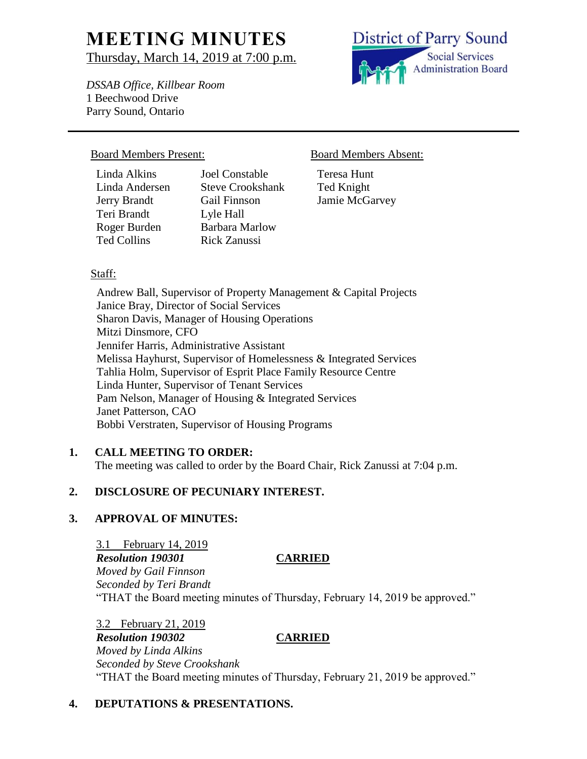# **MEETING MINUTES** Thursday, March 14, 2019 at 7:00 p.m.

*DSSAB Office, Killbear Room*

Teresa Hunt Ted Knight Jamie McGarvey

1 Beechwood Drive Parry Sound, Ontario

#### Board Members Present: Board Members Absent:

Linda Alkins Joel Constable Linda Andersen Steve Crookshank Jerry Brandt Gail Finnson Teri Brandt Lyle Hall Roger Burden Barbara Marlow Ted Collins Rick Zanussi

### Staff:

Andrew Ball, Supervisor of Property Management & Capital Projects Janice Bray, Director of Social Services Sharon Davis, Manager of Housing Operations Mitzi Dinsmore, CFO Jennifer Harris, Administrative Assistant Melissa Hayhurst, Supervisor of Homelessness & Integrated Services Tahlia Holm, Supervisor of Esprit Place Family Resource Centre Linda Hunter, Supervisor of Tenant Services Pam Nelson, Manager of Housing & Integrated Services Janet Patterson, CAO Bobbi Verstraten, Supervisor of Housing Programs

#### **1. CALL MEETING TO ORDER:**

The meeting was called to order by the Board Chair, Rick Zanussi at 7:04 p.m.

# **2. DISCLOSURE OF PECUNIARY INTEREST.**

#### **3. APPROVAL OF MINUTES:**

3.1 February 14, 2019 *Resolution 190301* **CARRIED** *Moved by Gail Finnson Seconded by Teri Brandt* "THAT the Board meeting minutes of Thursday, February 14, 2019 be approved."

3.2 February 21, 2019 *Resolution 190302* **CARRIED** *Moved by Linda Alkins Seconded by Steve Crookshank* "THAT the Board meeting minutes of Thursday, February 21, 2019 be approved."

# **4. DEPUTATIONS & PRESENTATIONS.**

**District of Parry Sound Social Services Administration Board**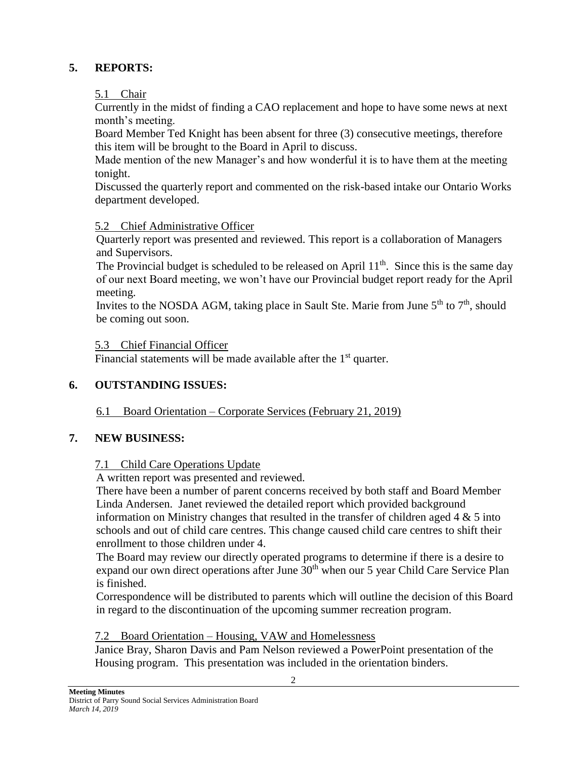# **5. REPORTS:**

5.1 Chair

Currently in the midst of finding a CAO replacement and hope to have some news at next month's meeting.

Board Member Ted Knight has been absent for three (3) consecutive meetings, therefore this item will be brought to the Board in April to discuss.

Made mention of the new Manager's and how wonderful it is to have them at the meeting tonight.

Discussed the quarterly report and commented on the risk-based intake our Ontario Works department developed.

# 5.2 Chief Administrative Officer

Quarterly report was presented and reviewed. This report is a collaboration of Managers and Supervisors.

The Provincial budget is scheduled to be released on April  $11<sup>th</sup>$ . Since this is the same day of our next Board meeting, we won't have our Provincial budget report ready for the April meeting.

Invites to the NOSDA AGM, taking place in Sault Ste. Marie from June  $5<sup>th</sup>$  to  $7<sup>th</sup>$ , should be coming out soon.

### 5.3 Chief Financial Officer

Financial statements will be made available after the 1<sup>st</sup> quarter.

# **6. OUTSTANDING ISSUES:**

6.1 Board Orientation – Corporate Services (February 21, 2019)

# **7. NEW BUSINESS:**

# 7.1 Child Care Operations Update

A written report was presented and reviewed.

There have been a number of parent concerns received by both staff and Board Member Linda Andersen. Janet reviewed the detailed report which provided background information on Ministry changes that resulted in the transfer of children aged  $4 \& 5$  into schools and out of child care centres. This change caused child care centres to shift their enrollment to those children under 4.

The Board may review our directly operated programs to determine if there is a desire to expand our own direct operations after June  $30<sup>th</sup>$  when our 5 year Child Care Service Plan is finished.

Correspondence will be distributed to parents which will outline the decision of this Board in regard to the discontinuation of the upcoming summer recreation program.

# 7.2 Board Orientation – Housing, VAW and Homelessness

Janice Bray, Sharon Davis and Pam Nelson reviewed a PowerPoint presentation of the Housing program. This presentation was included in the orientation binders.